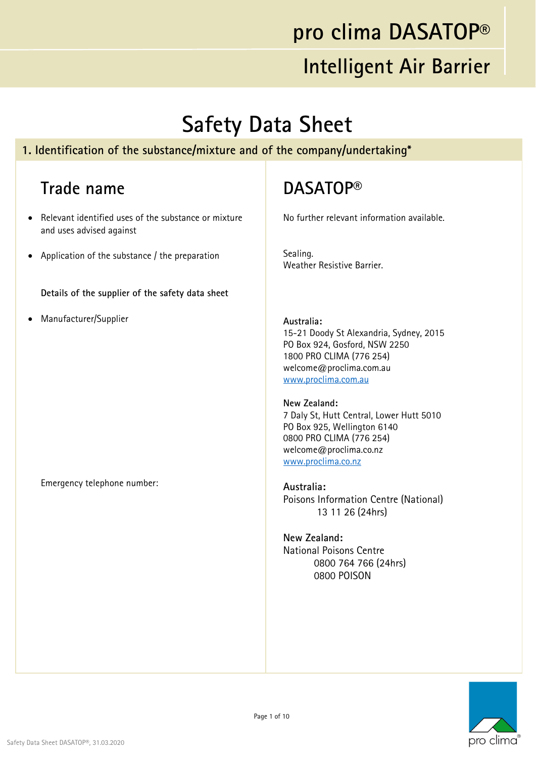### **pro clima DASATOP®**

### **Intelligent Air Barrier**

### **Safety Data Sheet**

#### **1. Identification of the substance/mixture and of the company/undertaking\***

### **Trade name**

- Relevant identified uses of the substance or mixture and uses advised against
- Application of the substance / the preparation

**Details of the supplier of the safety data sheet**

Manufacturer/Supplier

#### Emergency telephone number:

### **DASATOP®**

No further relevant information available.

Sealing. Weather Resistive Barrier.

**Australia:**  15-21 Doody St Alexandria, Sydney, 2015 PO Box 924, Gosford, NSW 2250 1800 PRO CLIMA (776 254) welcome@proclima.com.au www.proclima.com.au

**New Zealand:**  7 Daly St, Hutt Central, Lower Hutt 5010 PO Box 925, Wellington 6140 0800 PRO CLIMA (776 254) welcome@proclima.co.nz www.proclima.co.nz

**Australia:**  Poisons Information Centre (National) 13 11 26 (24hrs)

**New Zealand:**  National Poisons Centre 0800 764 766 (24hrs) 0800 POISON

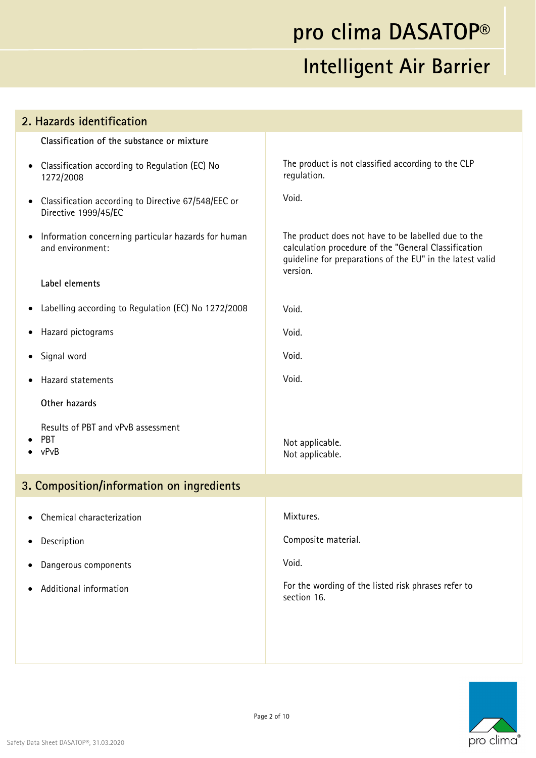| 2. Hazards identification                                                                |                                                                                                                                                                                      |
|------------------------------------------------------------------------------------------|--------------------------------------------------------------------------------------------------------------------------------------------------------------------------------------|
| Classification of the substance or mixture                                               |                                                                                                                                                                                      |
| Classification according to Regulation (EC) No<br>$\bullet$<br>1272/2008                 | The product is not classified according to the CLP<br>regulation.                                                                                                                    |
| Classification according to Directive 67/548/EEC or<br>$\bullet$<br>Directive 1999/45/EC | Void.                                                                                                                                                                                |
| Information concerning particular hazards for human<br>$\bullet$<br>and environment:     | The product does not have to be labelled due to the<br>calculation procedure of the "General Classification<br>guideline for preparations of the EU" in the latest valid<br>version. |
| Label elements                                                                           |                                                                                                                                                                                      |
| Labelling according to Regulation (EC) No 1272/2008<br>$\bullet$                         | Void.                                                                                                                                                                                |
| Hazard pictograms<br>$\bullet$                                                           | Void.                                                                                                                                                                                |
| Signal word<br>$\bullet$                                                                 | Void.                                                                                                                                                                                |
| Hazard statements                                                                        | Void.                                                                                                                                                                                |
| Other hazards                                                                            |                                                                                                                                                                                      |
| Results of PBT and vPvB assessment<br>PBT<br>$\bullet$ vPvB                              | Not applicable.<br>Not applicable.                                                                                                                                                   |
| 3. Composition/information on ingredients                                                |                                                                                                                                                                                      |
| • Chemical characterization                                                              | Mixtures.                                                                                                                                                                            |
| Description                                                                              | Composite material.                                                                                                                                                                  |
| Dangerous components                                                                     | Void.                                                                                                                                                                                |
| Additional information                                                                   | For the wording of the listed risk phrases refer to<br>section 16.                                                                                                                   |
|                                                                                          |                                                                                                                                                                                      |

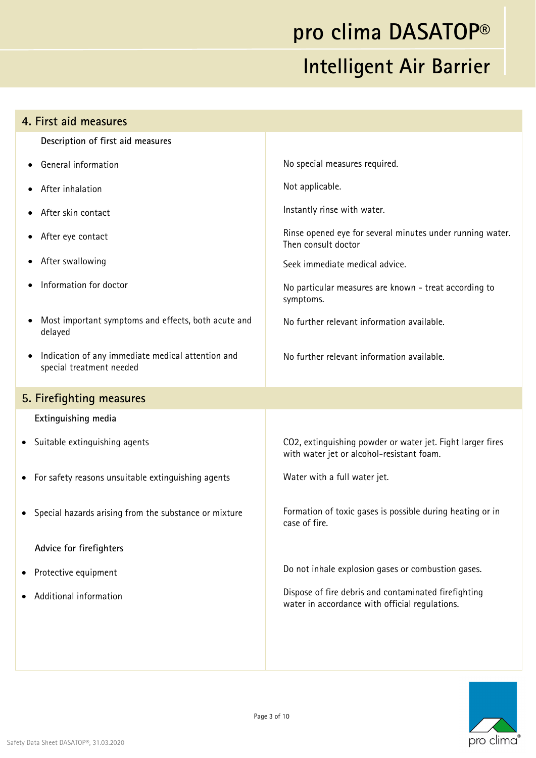| 4. First aid measures                                                         |                                                                                                         |
|-------------------------------------------------------------------------------|---------------------------------------------------------------------------------------------------------|
| Description of first aid measures                                             |                                                                                                         |
| General information                                                           | No special measures required.                                                                           |
| After inhalation                                                              | Not applicable.                                                                                         |
| After skin contact                                                            | Instantly rinse with water.                                                                             |
| After eye contact                                                             | Rinse opened eye for several minutes under running water.<br>Then consult doctor                        |
| After swallowing                                                              | Seek immediate medical advice.                                                                          |
| Information for doctor                                                        | No particular measures are known - treat according to<br>symptoms.                                      |
| Most important symptoms and effects, both acute and<br>delayed                | No further relevant information available.                                                              |
| Indication of any immediate medical attention and<br>special treatment needed | No further relevant information available.                                                              |
| 5. Firefighting measures                                                      |                                                                                                         |
| Extinguishing media                                                           |                                                                                                         |
| • Suitable extinguishing agents                                               | CO2, extinguishing powder or water jet. Fight larger fires<br>with water jet or alcohol-resistant foam. |
| For safety reasons unsuitable extinguishing agents<br>$\bullet$               | Water with a full water jet.                                                                            |
| Special hazards arising from the substance or mixture                         | Formation of toxic gases is possible during heating or in                                               |
|                                                                               | case of fire.                                                                                           |
| Advice for firefighters                                                       |                                                                                                         |
| Protective equipment                                                          | Do not inhale explosion gases or combustion gases.                                                      |
| Additional information                                                        | Dispose of fire debris and contaminated firefighting<br>water in accordance with official regulations.  |
|                                                                               |                                                                                                         |

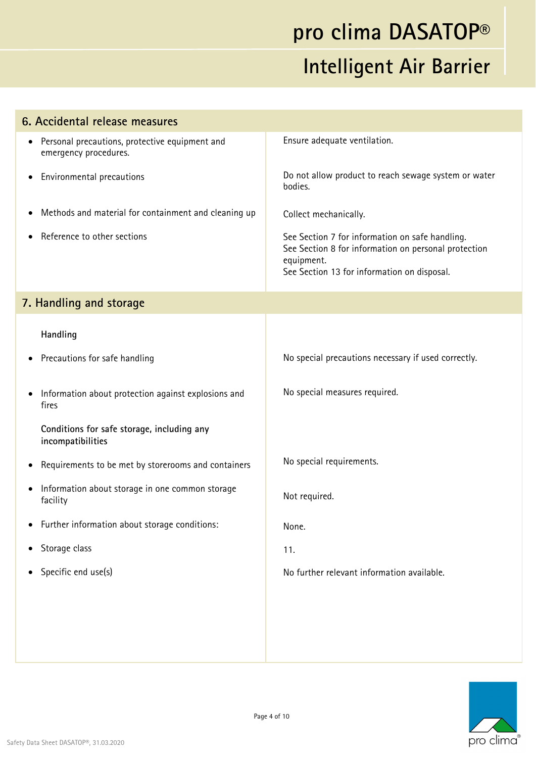| 6. Accidental release measures                                                       |                                                                                                                                                                      |
|--------------------------------------------------------------------------------------|----------------------------------------------------------------------------------------------------------------------------------------------------------------------|
| Personal precautions, protective equipment and<br>$\bullet$<br>emergency procedures. | Ensure adequate ventilation.                                                                                                                                         |
| Environmental precautions<br>$\bullet$                                               | Do not allow product to reach sewage system or water<br>bodies.                                                                                                      |
| Methods and material for containment and cleaning up<br>$\bullet$                    | Collect mechanically.                                                                                                                                                |
| Reference to other sections                                                          | See Section 7 for information on safe handling.<br>See Section 8 for information on personal protection<br>equipment.<br>See Section 13 for information on disposal. |
| 7. Handling and storage                                                              |                                                                                                                                                                      |
| Handling                                                                             |                                                                                                                                                                      |
| Precautions for safe handling<br>$\bullet$                                           | No special precautions necessary if used correctly.                                                                                                                  |
| Information about protection against explosions and<br>$\bullet$<br>fires            | No special measures required.                                                                                                                                        |
| Conditions for safe storage, including any<br>incompatibilities                      |                                                                                                                                                                      |
| Requirements to be met by storerooms and containers<br>$\bullet$                     | No special requirements.                                                                                                                                             |
| Information about storage in one common storage<br>$\bullet$<br>facility             | Not required.                                                                                                                                                        |
| Further information about storage conditions:                                        | None.                                                                                                                                                                |
| Storage class<br>$\bullet$                                                           | 11.                                                                                                                                                                  |
| Specific end use(s)<br>$\bullet$                                                     | No further relevant information available.                                                                                                                           |
|                                                                                      |                                                                                                                                                                      |
|                                                                                      |                                                                                                                                                                      |
|                                                                                      |                                                                                                                                                                      |

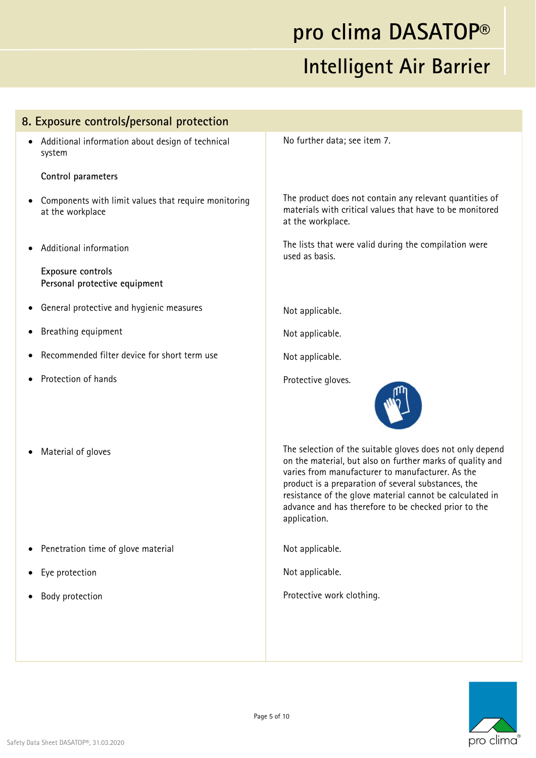#### **8. Exposure controls/personal protection**

 Additional information about design of technical system

#### **Control parameters**

- Components with limit values that require monitoring at the workplace
- Additional information

**Exposure controls Personal protective equipment** 

- General protective and hygienic measures
- Breathing equipment
- Recommended filter device for short term use
- Protection of hands
- Material of gloves

- Penetration time of glove material
- Eye protection
- Body protection

No further data; see item 7.

The product does not contain any relevant quantities of materials with critical values that have to be monitored at the workplace.

The lists that were valid during the compilation were used as basis.

Not applicable.

Not applicable.

Not applicable.

Protective gloves.



The selection of the suitable gloves does not only depend on the material, but also on further marks of quality and varies from manufacturer to manufacturer. As the product is a preparation of several substances, the resistance of the glove material cannot be calculated in advance and has therefore to be checked prior to the application.

Not applicable.

Not applicable.

Protective work clothing.

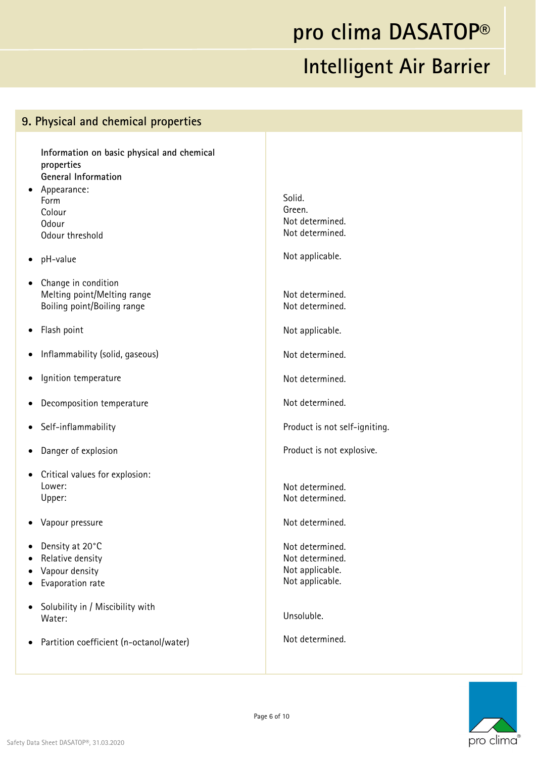#### **9. Physical and chemical properties**

**Information on basic physical and chemical properties General Information** 

- Appearance: Form Colour Odour Odour threshold
- pH-value
- Change in condition Melting point/Melting range Boiling point/Boiling range
- Flash point
- Inflammability (solid, gaseous)
- Ignition temperature
- Decomposition temperature
- Self-inflammability
- Danger of explosion
- Critical values for explosion: Lower: Upper:
- Vapour pressure
- Density at 20°C
- Relative density
- Vapour density
- Evaporation rate
- Solubility in / Miscibility with Water:
- Partition coefficient (n-octanol/water)

Solid. Green. Not determined. Not determined.

Not applicable.

Not determined. Not determined.

Not applicable.

Not determined.

Not determined.

Not determined.

Product is not self-igniting.

Product is not explosive.

Not determined. Not determined.

Not determined.

Not determined. Not determined. Not applicable. Not applicable.

Unsoluble.

Not determined.

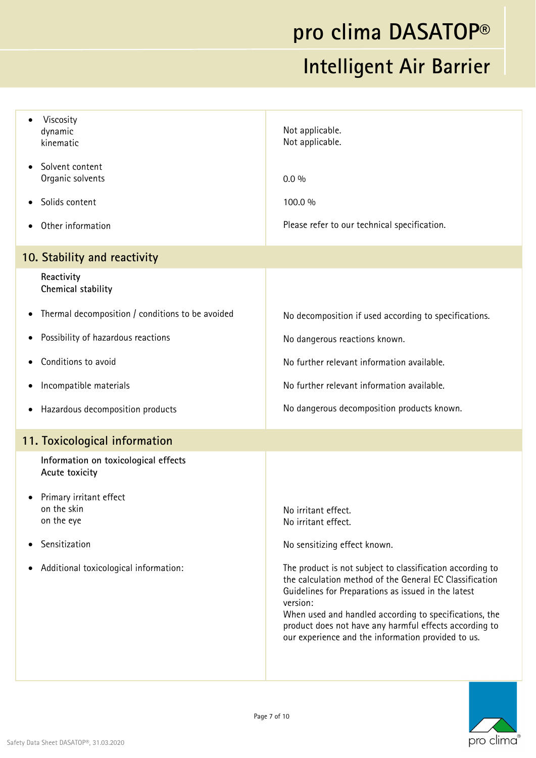# **pro clima DASATOP®**

### **Intelligent Air Barrier**

| Viscosity<br>dynamic<br>kinematic                                                                                   | Not applicable.<br>Not applicable.                                                                                                                                                                                                                                                                                                                                                        |
|---------------------------------------------------------------------------------------------------------------------|-------------------------------------------------------------------------------------------------------------------------------------------------------------------------------------------------------------------------------------------------------------------------------------------------------------------------------------------------------------------------------------------|
| Solvent content<br>$\bullet$<br>Organic solvents                                                                    | $0.0\%$                                                                                                                                                                                                                                                                                                                                                                                   |
| Solids content                                                                                                      | 100.0 %                                                                                                                                                                                                                                                                                                                                                                                   |
| Other information<br>$\bullet$                                                                                      | Please refer to our technical specification.                                                                                                                                                                                                                                                                                                                                              |
| 10. Stability and reactivity                                                                                        |                                                                                                                                                                                                                                                                                                                                                                                           |
| Reactivity<br>Chemical stability                                                                                    |                                                                                                                                                                                                                                                                                                                                                                                           |
| Thermal decomposition / conditions to be avoided<br>٠                                                               | No decomposition if used according to specifications.                                                                                                                                                                                                                                                                                                                                     |
| Possibility of hazardous reactions<br>٠                                                                             | No dangerous reactions known.                                                                                                                                                                                                                                                                                                                                                             |
| Conditions to avoid                                                                                                 | No further relevant information available.                                                                                                                                                                                                                                                                                                                                                |
| Incompatible materials<br>٠                                                                                         | No further relevant information available.                                                                                                                                                                                                                                                                                                                                                |
| Hazardous decomposition products<br>$\bullet$                                                                       | No dangerous decomposition products known.                                                                                                                                                                                                                                                                                                                                                |
| 11. Toxicological information                                                                                       |                                                                                                                                                                                                                                                                                                                                                                                           |
| Information on toxicological effects<br>Acute toxicity                                                              |                                                                                                                                                                                                                                                                                                                                                                                           |
| Primary irritant effect<br>on the skin<br>on the eye<br>Sensitization<br>Additional toxicological information:<br>٠ | No irritant effect.<br>No irritant effect.<br>No sensitizing effect known.<br>The product is not subject to classification according to<br>the calculation method of the General EC Classification<br>Guidelines for Preparations as issued in the latest<br>version:<br>When used and handled according to specifications, the<br>product does not have any harmful effects according to |
|                                                                                                                     | our experience and the information provided to us.                                                                                                                                                                                                                                                                                                                                        |

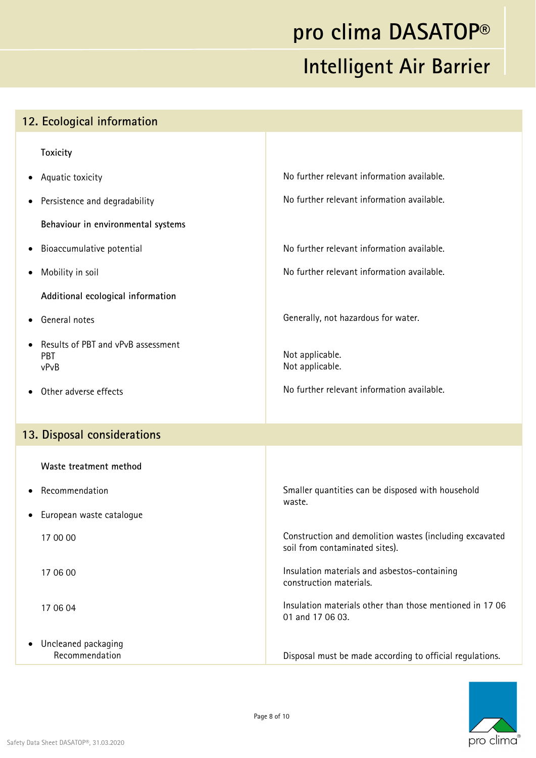| 12. Ecological information                        |                                                                                           |
|---------------------------------------------------|-------------------------------------------------------------------------------------------|
| <b>Toxicity</b>                                   |                                                                                           |
| Aquatic toxicity<br>$\bullet$                     | No further relevant information available.                                                |
| Persistence and degradability<br>$\bullet$        | No further relevant information available.                                                |
| Behaviour in environmental systems                |                                                                                           |
| Bioaccumulative potential<br>$\bullet$            | No further relevant information available.                                                |
| Mobility in soil<br>$\bullet$                     | No further relevant information available.                                                |
| Additional ecological information                 |                                                                                           |
| General notes<br>$\bullet$                        | Generally, not hazardous for water.                                                       |
| Results of PBT and vPvB assessment<br>PBT<br>vPvB | Not applicable.<br>Not applicable.                                                        |
| Other adverse effects                             | No further relevant information available.                                                |
| 13. Disposal considerations                       |                                                                                           |
| Waste treatment method                            |                                                                                           |
| Recommendation                                    | Smaller quantities can be disposed with household                                         |
| • European waste catalogue                        | waste.                                                                                    |
| 17 00 00                                          | Construction and demolition wastes (including excavated<br>soil from contaminated sites). |
| 17 06 00                                          | Insulation materials and asbestos-containing<br>construction materials.                   |
| 17 06 04                                          | Insulation materials other than those mentioned in 1706<br>01 and 17 06 03.               |
| Uncleaned packaging<br>Recommendation             | Disposal must be made according to official regulations.                                  |

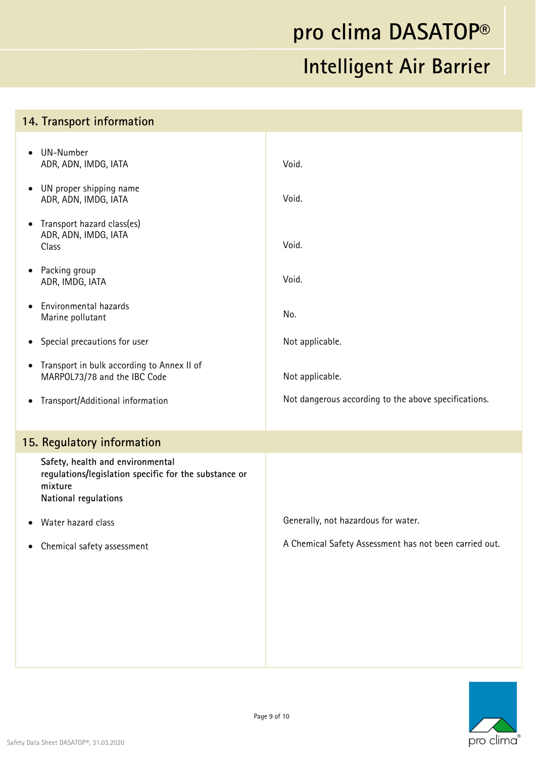#### **14. Transport information**  UN-Number ADR, ADN, IMDG, IATA UN proper shipping name ADR, ADN, IMDG, IATA • Transport hazard class(es) ADR, ADN, IMDG, IATA Class • Packing group ADR, IMDG, IATA Environmental hazards Marine pollutant Special precautions for user • Transport in bulk according to Annex II of MARPOL73/78 and the IBC Code Transport/Additional information Void. Void. Void. Void. No. Not applicable. Not applicable. Not dangerous according to the above specifications. **15. Regulatory information Safety, health and environmental regulations/legislation specific for the substance or mixture National regulations**  Water hazard class Chemical safety assessment Generally, not hazardous for water. A Chemical Safety Assessment has not been carried out.